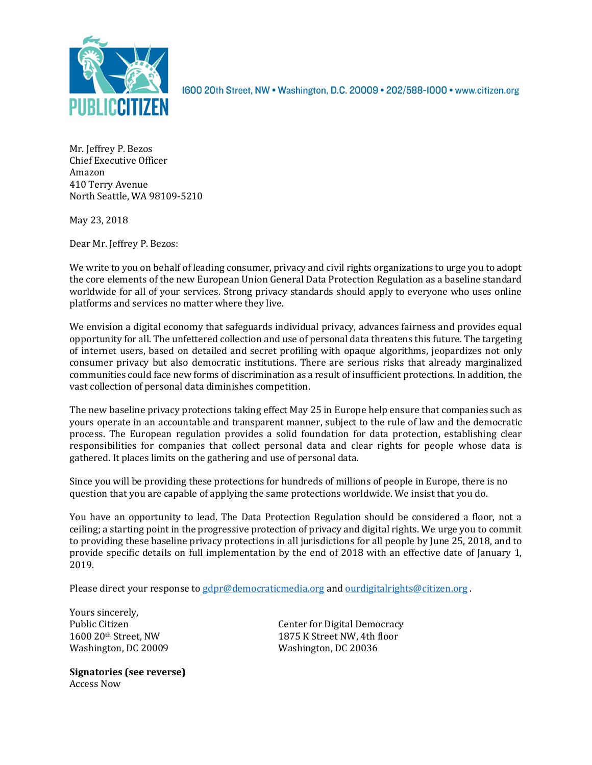

1600 20th Street, NW . Washington, D.C. 20009 . 202/588-1000 . www.citizen.org

Mr. Jeffrey P. Bezos Chief Executive Officer Amazon 410 Terry Avenue North Seattle, WA 98109-5210

May 23, 2018

Dear Mr. Jeffrey P. Bezos:

We write to you on behalf of leading consumer, privacy and civil rights organizations to urge you to adopt the core elements of the new European Union General Data Protection Regulation as a baseline standard worldwide for all of your services. Strong privacy standards should apply to everyone who uses online platforms and services no matter where they live.

We envision a digital economy that safeguards individual privacy, advances fairness and provides equal opportunity for all. The unfettered collection and use of personal data threatens this future. The targeting of internet users, based on detailed and secret profiling with opaque algorithms, jeopardizes not only consumer privacy but also democratic institutions. There are serious risks that already marginalized communities could face new forms of discrimination as a result of insufficient protections. In addition, the vast collection of personal data diminishes competition.

The new baseline privacy protections taking effect May 25 in Europe help ensure that companies such as yours operate in an accountable and transparent manner, subject to the rule of law and the democratic process. The European regulation provides a solid foundation for data protection, establishing clear responsibilities for companies that collect personal data and clear rights for people whose data is gathered. It places limits on the gathering and use of personal data.

Since you will be providing these protections for hundreds of millions of people in Europe, there is no question that you are capable of applying the same protections worldwide. We insist that you do.

You have an opportunity to lead. The Data Protection Regulation should be considered a floor, not a ceiling; a starting point in the progressive protection of privacy and digital rights. We urge you to commit to providing these baseline privacy protections in all jurisdictions for all people by June 25, 2018, and to provide specific details on full implementation by the end of 2018 with an effective date of January 1, 2019.

Please direct your response to gdpr@democraticmedia.org and ourdigitalrights@citizen.org .

Yours sincerely, Washington, DC 20009 Washington, DC 20036

**Signatories (see reverse)** Access Now

Public Citizen **Center** for Digital Democracy 1600 20<sup>th</sup> Street, NW 1875 K Street NW, 4th floor